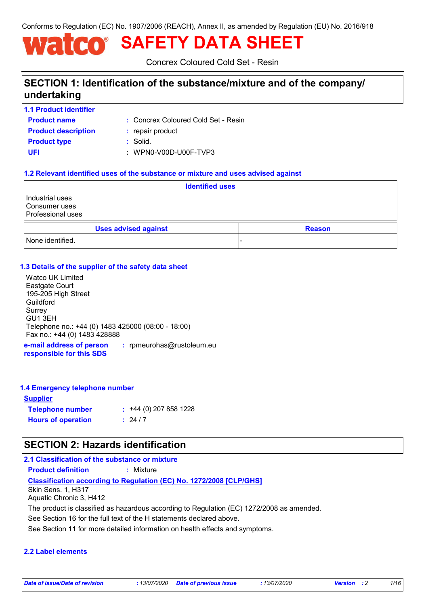Conforms to Regulation (EC) No. 1907/2006 (REACH), Annex II, as amended by Regulation (EU) No. 2016/918

# **SAFETY DATA SHEET**

Concrex Coloured Cold Set - Resin

### **SECTION 1: Identification of the substance/mixture and of the company/ undertaking**

**1.1 Product identifier**

Concrex Coloured Cold Set - Resin **:**

**Product name Product type :** Solid. **Product description :** repair product

**UFI :** WPN0-V00D-U00F-TVP3

#### **1.2 Relevant identified uses of the substance or mixture and uses advised against**

| <b>Identified uses</b>                                         |  |  |               |
|----------------------------------------------------------------|--|--|---------------|
| Industrial uses<br>l Consumer uses<br><b>Professional uses</b> |  |  |               |
| <b>Uses advised against</b>                                    |  |  | <b>Reason</b> |
| None identified.                                               |  |  |               |

#### **1.3 Details of the supplier of the safety data sheet**

Watco UK Limited Eastgate Court 195-205 High Street **Guildford** Surrey GU1 3EH Telephone no.: +44 (0) 1483 425000 (08:00 - 18:00) Fax no.: +44 (0) 1483 428888

**e-mail address of person responsible for this SDS :** rpmeurohas@rustoleum.eu

#### **1.4 Emergency telephone number**

| <u>Supplier</u>           |                             |
|---------------------------|-----------------------------|
| <b>Telephone number</b>   | $\div$ +44 (0) 207 858 1228 |
| <b>Hours of operation</b> | : 24/7                      |

### **SECTION 2: Hazards identification**

#### **2.1 Classification of the substance or mixture**

**Product definition :** Mixture

#### **Classification according to Regulation (EC) No. 1272/2008 [CLP/GHS]**

Skin Sens. 1, H317 Aquatic Chronic 3, H412

The product is classified as hazardous according to Regulation (EC) 1272/2008 as amended.

See Section 16 for the full text of the H statements declared above.

See Section 11 for more detailed information on health effects and symptoms.

#### **2.2 Label elements**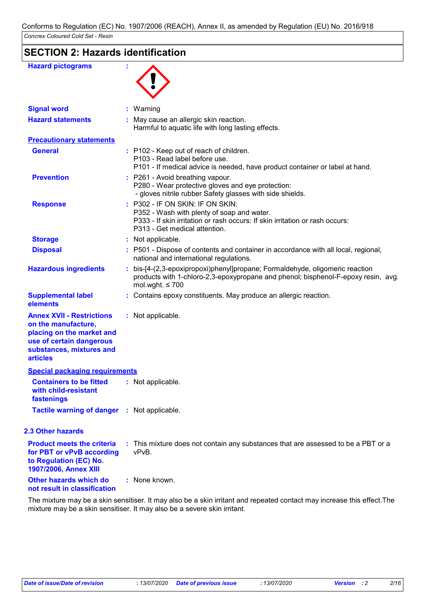| <b>Hazard pictograms</b>                                                                                                                                        |                                                                                                                                                                                               |
|-----------------------------------------------------------------------------------------------------------------------------------------------------------------|-----------------------------------------------------------------------------------------------------------------------------------------------------------------------------------------------|
| <b>Signal word</b>                                                                                                                                              | : Warning                                                                                                                                                                                     |
| <b>Hazard statements</b>                                                                                                                                        | : May cause an allergic skin reaction.<br>Harmful to aquatic life with long lasting effects.                                                                                                  |
| <b>Precautionary statements</b>                                                                                                                                 |                                                                                                                                                                                               |
| <b>General</b>                                                                                                                                                  | : P102 - Keep out of reach of children.<br>P103 - Read label before use.<br>P101 - If medical advice is needed, have product container or label at hand.                                      |
| <b>Prevention</b>                                                                                                                                               | : P261 - Avoid breathing vapour.<br>P280 - Wear protective gloves and eye protection:<br>- gloves nitrile rubber Safety glasses with side shields.                                            |
| <b>Response</b>                                                                                                                                                 | P302 - IF ON SKIN: IF ON SKIN:<br>P352 - Wash with plenty of soap and water.<br>P333 - If skin irritation or rash occurs: If skin irritation or rash occurs:<br>P313 - Get medical attention. |
| <b>Storage</b>                                                                                                                                                  | : Not applicable.                                                                                                                                                                             |
| <b>Disposal</b>                                                                                                                                                 | : P501 - Dispose of contents and container in accordance with all local, regional,<br>national and international regulations.                                                                 |
| <b>Hazardous ingredients</b>                                                                                                                                    | bis-[4-(2,3-epoxipropoxi)phenyl]propane; Formaldehyde, oligomeric reaction<br>products with 1-chloro-2,3-epoxypropane and phenol; bisphenol-F-epoxy resin, avg.<br>mol.wght. $\leq 700$       |
| <b>Supplemental label</b><br>elements                                                                                                                           | Contains epoxy constituents. May produce an allergic reaction.                                                                                                                                |
| <b>Annex XVII - Restrictions</b><br>on the manufacture,<br>placing on the market and<br>use of certain dangerous<br>substances, mixtures and<br><b>articles</b> | : Not applicable.                                                                                                                                                                             |
| <b>Special packaging requirements</b>                                                                                                                           |                                                                                                                                                                                               |
| <b>Containers to be fitted</b><br>with child-resistant<br>fastenings                                                                                            | : Not applicable.                                                                                                                                                                             |
| Tactile warning of danger : Not applicable.                                                                                                                     |                                                                                                                                                                                               |
| 2.3 Other hazards                                                                                                                                               |                                                                                                                                                                                               |
| <b>Product meets the criteria</b><br>for PBT or vPvB according<br>to Regulation (EC) No.<br>1907/2006, Annex XIII                                               | : This mixture does not contain any substances that are assessed to be a PBT or a<br>vPvB.                                                                                                    |
| Other hazards which do<br>not result in classification                                                                                                          | : None known.                                                                                                                                                                                 |

The mixture may be a skin sensitiser. It may also be a skin irritant and repeated contact may increase this effect.The mixture may be a skin sensitiser. It may also be a severe skin irritant.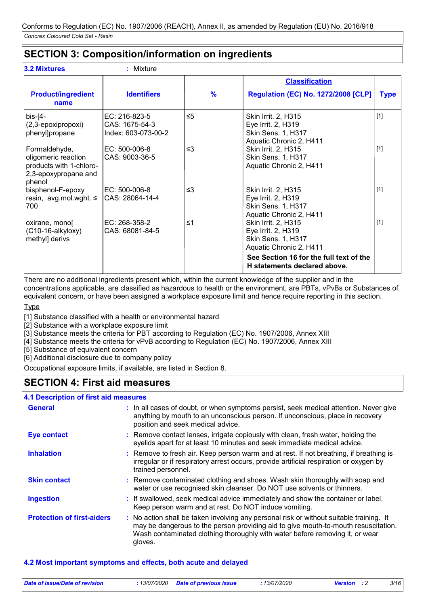### **SECTION 3: Composition/information on ingredients**

| <b>3.2 Mixtures</b>                                                                               | Mixture                                                |               |                                                                                                                                                                              |             |
|---------------------------------------------------------------------------------------------------|--------------------------------------------------------|---------------|------------------------------------------------------------------------------------------------------------------------------------------------------------------------------|-------------|
|                                                                                                   |                                                        |               | <b>Classification</b>                                                                                                                                                        |             |
| <b>Product/ingredient</b><br>name                                                                 | <b>Identifiers</b>                                     | $\frac{9}{6}$ | <b>Regulation (EC) No. 1272/2008 [CLP]</b>                                                                                                                                   | <b>Type</b> |
| $bis$ - $[4-$<br>(2,3-epoxipropoxi)<br>phenyl]propane                                             | EC: 216-823-5<br>CAS: 1675-54-3<br>Index: 603-073-00-2 | $\leq 5$      | Skin Irrit. 2, H315<br>Eye Irrit. 2, H319<br><b>Skin Sens. 1, H317</b><br>Aquatic Chronic 2, H411                                                                            | $[1]$       |
| Formaldehyde,<br>oligomeric reaction<br>products with 1-chloro-<br>2,3-epoxypropane and<br>phenol | EC: 500-006-8<br>CAS: 9003-36-5                        | $\leq$ 3      | Skin Irrit. 2, H315<br>Skin Sens. 1, H317<br>Aquatic Chronic 2, H411                                                                                                         | $[1]$       |
| bisphenol-F-epoxy<br>resin, $avg.mol.wight. \leq$<br>700                                          | IEC: 500-006-8<br>CAS: 28064-14-4                      | ≤3            | Skin Irrit. 2, H315<br>Eye Irrit. 2, H319<br>Skin Sens. 1, H317<br>Aquatic Chronic 2, H411                                                                                   | $[1]$       |
| oxirane, mono<br>(C10-16-alkyloxy)<br>methyl] derivs                                              | EC: 268-358-2<br>CAS: 68081-84-5                       | ≤1            | Skin Irrit. 2, H315<br>Eye Irrit. 2, H319<br><b>Skin Sens. 1, H317</b><br>Aquatic Chronic 2, H411<br>See Section 16 for the full text of the<br>H statements declared above. | [1]         |

There are no additional ingredients present which, within the current knowledge of the supplier and in the concentrations applicable, are classified as hazardous to health or the environment, are PBTs, vPvBs or Substances of equivalent concern, or have been assigned a workplace exposure limit and hence require reporting in this section.

Type

[1] Substance classified with a health or environmental hazard

[2] Substance with a workplace exposure limit

[3] Substance meets the criteria for PBT according to Regulation (EC) No. 1907/2006, Annex XIII

[4] Substance meets the criteria for vPvB according to Regulation (EC) No. 1907/2006, Annex XIII

[5] Substance of equivalent concern

[6] Additional disclosure due to company policy

Occupational exposure limits, if available, are listed in Section 8.

### **SECTION 4: First aid measures**

#### **4.1 Description of first aid measures**

| <b>General</b>                    | : In all cases of doubt, or when symptoms persist, seek medical attention. Never give<br>anything by mouth to an unconscious person. If unconscious, place in recovery<br>position and seek medical advice.                                                              |
|-----------------------------------|--------------------------------------------------------------------------------------------------------------------------------------------------------------------------------------------------------------------------------------------------------------------------|
| <b>Eye contact</b>                | : Remove contact lenses, irrigate copiously with clean, fresh water, holding the<br>eyelids apart for at least 10 minutes and seek immediate medical advice.                                                                                                             |
| <b>Inhalation</b>                 | : Remove to fresh air. Keep person warm and at rest. If not breathing, if breathing is<br>irregular or if respiratory arrest occurs, provide artificial respiration or oxygen by<br>trained personnel.                                                                   |
| <b>Skin contact</b>               | : Remove contaminated clothing and shoes. Wash skin thoroughly with soap and<br>water or use recognised skin cleanser. Do NOT use solvents or thinners.                                                                                                                  |
| <b>Ingestion</b>                  | : If swallowed, seek medical advice immediately and show the container or label.<br>Keep person warm and at rest. Do NOT induce vomiting.                                                                                                                                |
| <b>Protection of first-aiders</b> | : No action shall be taken involving any personal risk or without suitable training. It<br>may be dangerous to the person providing aid to give mouth-to-mouth resuscitation.<br>Wash contaminated clothing thoroughly with water before removing it, or wear<br>gloves. |

#### **4.2 Most important symptoms and effects, both acute and delayed**

| Date of issue/Date of revision | : 13/07/2020 Date of previous issue | <i>13/07/2020</i> | <b>Version</b> | 3/16 |
|--------------------------------|-------------------------------------|-------------------|----------------|------|
|                                |                                     |                   |                |      |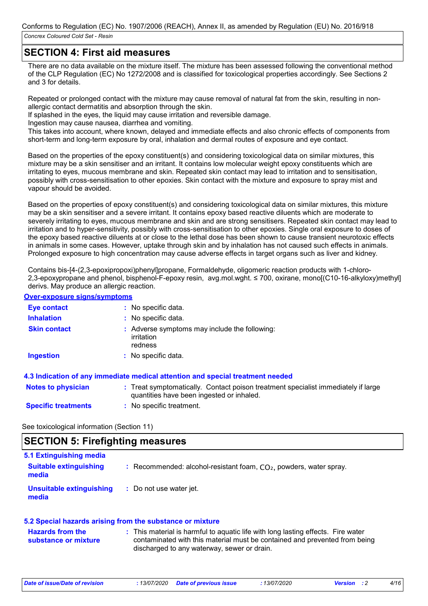### **SECTION 4: First aid measures**

There are no data available on the mixture itself. The mixture has been assessed following the conventional method of the CLP Regulation (EC) No 1272/2008 and is classified for toxicological properties accordingly. See Sections 2 and 3 for details.

Repeated or prolonged contact with the mixture may cause removal of natural fat from the skin, resulting in nonallergic contact dermatitis and absorption through the skin.

If splashed in the eyes, the liquid may cause irritation and reversible damage.

Ingestion may cause nausea, diarrhea and vomiting.

This takes into account, where known, delayed and immediate effects and also chronic effects of components from short-term and long-term exposure by oral, inhalation and dermal routes of exposure and eye contact.

Based on the properties of the epoxy constituent(s) and considering toxicological data on similar mixtures, this mixture may be a skin sensitiser and an irritant. It contains low molecular weight epoxy constituents which are irritating to eyes, mucous membrane and skin. Repeated skin contact may lead to irritation and to sensitisation, possibly with cross-sensitisation to other epoxies. Skin contact with the mixture and exposure to spray mist and vapour should be avoided.

Based on the properties of epoxy constituent(s) and considering toxicological data on similar mixtures, this mixture may be a skin sensitiser and a severe irritant. It contains epoxy based reactive diluents which are moderate to severely irritating to eyes, mucous membrane and skin and are strong sensitisers. Repeated skin contact may lead to irritation and to hyper-sensitivity, possibly with cross-sensitisation to other epoxies. Single oral exposure to doses of the epoxy based reactive diluents at or close to the lethal dose has been shown to cause transient neurotoxic effects in animals in some cases. However, uptake through skin and by inhalation has not caused such effects in animals. Prolonged exposure to high concentration may cause adverse effects in target organs such as liver and kidney.

Contains bis-[4-(2,3-epoxipropoxi)phenyl]propane, Formaldehyde, oligomeric reaction products with 1-chloro-2,3-epoxypropane and phenol, bisphenol-F-epoxy resin, avg.mol.wght. ≤ 700, oxirane, mono[(C10-16-alkyloxy)methyl] derivs. May produce an allergic reaction.

#### **Over-exposure signs/symptoms**

| <b>Eye contact</b>         | : No specific data.                                                                                                            |
|----------------------------|--------------------------------------------------------------------------------------------------------------------------------|
| <b>Inhalation</b>          | : No specific data.                                                                                                            |
| <b>Skin contact</b>        | : Adverse symptoms may include the following:<br>irritation<br>redness                                                         |
| <b>Ingestion</b>           | : No specific data.                                                                                                            |
|                            | 4.3 Indication of any immediate medical attention and special treatment needed                                                 |
| <b>Notes to physician</b>  | : Treat symptomatically. Contact poison treatment specialist immediately if large<br>quantities have been ingested or inhaled. |
| <b>Specific treatments</b> | : No specific treatment.                                                                                                       |
|                            |                                                                                                                                |

See toxicological information (Section 11)

### **SECTION 5: Firefighting measures**

| 5.1 Extinguishing media                |                                                                      |
|----------------------------------------|----------------------------------------------------------------------|
| <b>Suitable extinguishing</b><br>media | : Recommended: alcohol-resistant foam, $CO2$ , powders, water spray. |
| Unsuitable extinguishing<br>media      | : Do not use water jet.                                              |

#### **5.2 Special hazards arising from the substance or mixture**

| <b>Hazards from the</b> | : This material is harmful to aquatic life with long lasting effects. Fire water |
|-------------------------|----------------------------------------------------------------------------------|
| substance or mixture    | contaminated with this material must be contained and prevented from being       |
|                         | discharged to any waterway, sewer or drain.                                      |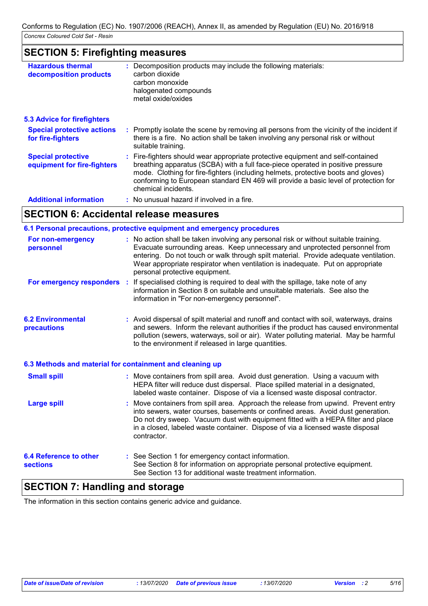### **SECTION 5: Firefighting measures**

| <b>Hazardous thermal</b><br>decomposition products       | : Decomposition products may include the following materials:<br>carbon dioxide<br>carbon monoxide<br>halogenated compounds<br>metal oxide/oxides                                                                                                                                                                                                                     |
|----------------------------------------------------------|-----------------------------------------------------------------------------------------------------------------------------------------------------------------------------------------------------------------------------------------------------------------------------------------------------------------------------------------------------------------------|
| <b>5.3 Advice for firefighters</b>                       |                                                                                                                                                                                                                                                                                                                                                                       |
| <b>Special protective actions</b><br>for fire-fighters   | : Promptly isolate the scene by removing all persons from the vicinity of the incident if<br>there is a fire. No action shall be taken involving any personal risk or without<br>suitable training.                                                                                                                                                                   |
| <b>Special protective</b><br>equipment for fire-fighters | : Fire-fighters should wear appropriate protective equipment and self-contained<br>breathing apparatus (SCBA) with a full face-piece operated in positive pressure<br>mode. Clothing for fire-fighters (including helmets, protective boots and gloves)<br>conforming to European standard EN 469 will provide a basic level of protection for<br>chemical incidents. |
| <b>Additional information</b>                            | : No unusual hazard if involved in a fire.                                                                                                                                                                                                                                                                                                                            |

### **SECTION 6: Accidental release measures**

| 6.1 Personal precautions, protective equipment and emergency procedures |  |                                                                                                                                                                                                                                                                                                                                                                                 |  |
|-------------------------------------------------------------------------|--|---------------------------------------------------------------------------------------------------------------------------------------------------------------------------------------------------------------------------------------------------------------------------------------------------------------------------------------------------------------------------------|--|
| For non-emergency<br>personnel                                          |  | : No action shall be taken involving any personal risk or without suitable training.<br>Evacuate surrounding areas. Keep unnecessary and unprotected personnel from<br>entering. Do not touch or walk through spilt material. Provide adequate ventilation.<br>Wear appropriate respirator when ventilation is inadequate. Put on appropriate<br>personal protective equipment. |  |
|                                                                         |  | <b>For emergency responders</b> : If specialised clothing is required to deal with the spillage, take note of any<br>information in Section 8 on suitable and unsuitable materials. See also the<br>information in "For non-emergency personnel".                                                                                                                               |  |
| <b>6.2 Environmental</b><br>precautions                                 |  | : Avoid dispersal of spilt material and runoff and contact with soil, waterways, drains<br>and sewers. Inform the relevant authorities if the product has caused environmental<br>pollution (sewers, waterways, soil or air). Water polluting material. May be harmful<br>to the environment if released in large quantities.                                                   |  |
| 6.3 Methods and material for containment and cleaning up                |  |                                                                                                                                                                                                                                                                                                                                                                                 |  |
| <b>Small spill</b>                                                      |  | : Move containers from spill area. Avoid dust generation. Using a vacuum with<br>HEPA filter will reduce dust dispersal. Place spilled material in a designated,<br>labeled waste container. Dispose of via a licensed waste disposal contractor.                                                                                                                               |  |
| <b>Large spill</b>                                                      |  | Move containers from spill area. Approach the release from upwind. Prevent entry<br>into sewers, water courses, basements or confined areas. Avoid dust generation.<br>Do not dry sweep. Vacuum dust with equipment fitted with a HEPA filter and place<br>in a closed, labeled waste container. Dispose of via a licensed waste disposal<br>contractor.                        |  |
| <b>6.4 Reference to other</b><br><b>sections</b>                        |  | : See Section 1 for emergency contact information.<br>See Section 8 for information on appropriate personal protective equipment.<br>See Section 13 for additional waste treatment information.                                                                                                                                                                                 |  |

### **SECTION 7: Handling and storage**

The information in this section contains generic advice and guidance.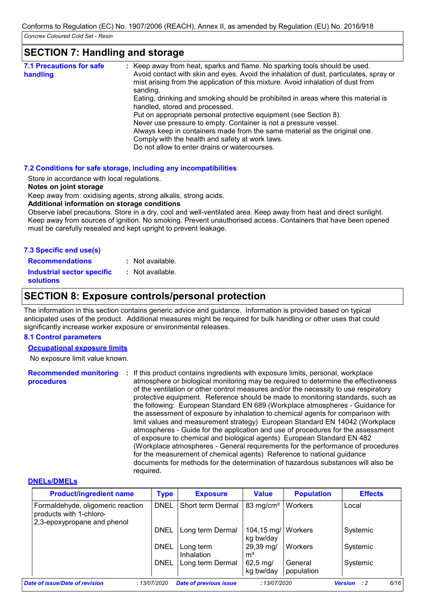#### **SECTION 7: Handling and storage :** Keep away from heat, sparks and flame. No sparking tools should be used. Avoid contact with skin and eyes. Avoid the inhalation of dust, particulates, spray or mist arising from the application of this mixture. Avoid inhalation of dust from sanding. Eating, drinking and smoking should be prohibited in areas where this material is handled, stored and processed. Put on appropriate personal protective equipment (see Section 8). Never use pressure to empty. Container is not a pressure vessel. Always keep in containers made from the same material as the original one. Comply with the health and safety at work laws. Do not allow to enter drains or watercourses. **7.1 Precautions for safe handling**

#### **7.2 Conditions for safe storage, including any incompatibilities**

Store in accordance with local regulations.

#### **Notes on joint storage**

Keep away from: oxidising agents, strong alkalis, strong acids.

#### **Additional information on storage conditions**

Observe label precautions. Store in a dry, cool and well-ventilated area. Keep away from heat and direct sunlight. Keep away from sources of ignition. No smoking. Prevent unauthorised access. Containers that have been opened must be carefully resealed and kept upright to prevent leakage.

| 7.3 Specific end use(s)                               |                  |
|-------------------------------------------------------|------------------|
| <b>Recommendations</b>                                | : Not available. |
| <b>Industrial sector specific</b><br><b>solutions</b> | : Not available. |

### **SECTION 8: Exposure controls/personal protection**

The information in this section contains generic advice and guidance. Information is provided based on typical anticipated uses of the product. Additional measures might be required for bulk handling or other uses that could significantly increase worker exposure or environmental releases.

#### **8.1 Control parameters**

#### **Occupational exposure limits**

No exposure limit value known.

Recommended monitoring : If this product contains ingredients with exposure limits, personal, workplace **procedures** atmosphere or biological monitoring may be required to determine the effectiveness of the ventilation or other control measures and/or the necessity to use respiratory protective equipment. Reference should be made to monitoring standards, such as the following: European Standard EN 689 (Workplace atmospheres - Guidance for the assessment of exposure by inhalation to chemical agents for comparison with limit values and measurement strategy) European Standard EN 14042 (Workplace atmospheres - Guide for the application and use of procedures for the assessment of exposure to chemical and biological agents) European Standard EN 482 (Workplace atmospheres - General requirements for the performance of procedures for the measurement of chemical agents) Reference to national guidance documents for methods for the determination of hazardous substances will also be required.

#### **DNELs/DMELs**

| <b>Product/ingredient name</b>                                                              | <b>Type</b> | <b>Exposure</b>               | <b>Value</b>                      | <b>Population</b>     | <b>Effects</b>                        |
|---------------------------------------------------------------------------------------------|-------------|-------------------------------|-----------------------------------|-----------------------|---------------------------------------|
| Formaldehyde, oligomeric reaction<br>products with 1-chloro-<br>2,3-epoxypropane and phenol | <b>DNEL</b> | Short term Dermal             | 83 mg/cm <sup>2</sup>             | Workers               | Local                                 |
|                                                                                             | DNEL        | Long term Dermal              | 104,15 mg/   Workers<br>kg bw/day |                       | Systemic                              |
|                                                                                             | <b>DNEL</b> | Long term<br>Inhalation       | 29,39 mg/<br>$\mathsf{m}^3$       | Workers               | Systemic                              |
|                                                                                             | <b>DNEL</b> | Long term Dermal              | $62,5 \, \text{mg}$<br>kg bw/day  | General<br>population | Systemic                              |
| Date of issue/Date of revision                                                              | :13/07/2020 | <b>Date of previous issue</b> | :13/07/2020                       |                       | 6/16<br>$\cdot$ : 2<br><b>Version</b> |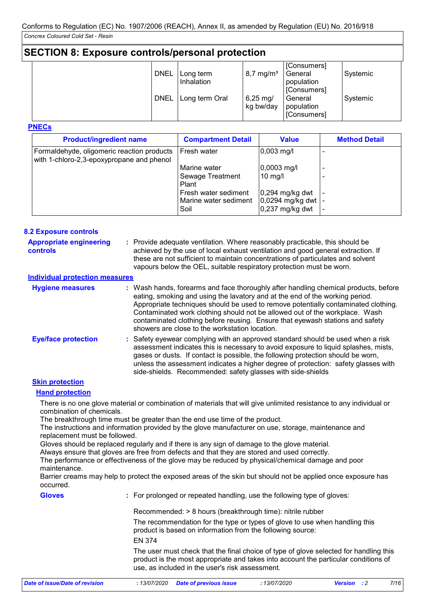### **SECTION 8: Exposure controls/personal protection**

| <b>DNEL</b> | Long term<br>Inhalation | $8,7 \,\mathrm{mg/m^3}$          | [Consumers]<br>General<br>population                | Systemic |
|-------------|-------------------------|----------------------------------|-----------------------------------------------------|----------|
| <b>DNEL</b> | Long term Oral          | $6,25 \, \text{mg}$<br>kg bw/day | [Consumers]<br>General<br>population<br>[Consumers] | Systemic |

#### **PNECs**

| <b>Product/ingredient name</b>                                                          | <b>Compartment Detail</b> | <b>Value</b>          | <b>Method Detail</b> |
|-----------------------------------------------------------------------------------------|---------------------------|-----------------------|----------------------|
| Formaldehyde, oligomeric reaction products<br>with 1-chloro-2,3-epoxypropane and phenol | Fresh water               | $0,003$ mg/l          |                      |
|                                                                                         | Marine water              | $ 0,0003 \text{ mg/}$ |                      |
|                                                                                         | Sewage Treatment<br>Plant | $10$ mg/              |                      |
|                                                                                         | Fresh water sediment      | $0,294$ mg/kg dwt     |                      |
|                                                                                         | Marine water sediment     | 0,0294 mg/kg dwt      |                      |
|                                                                                         | Soil                      | $0,237$ mg/kg dwt     |                      |

#### **8.2 Exposure controls**

| <b>Appropriate engineering</b><br>controls | : Provide adequate ventilation. Where reasonably practicable, this should be<br>achieved by the use of local exhaust ventilation and good general extraction. If<br>these are not sufficient to maintain concentrations of particulates and solvent<br>vapours below the OEL, suitable respiratory protection must be worn.                                                                                                                                                 |
|--------------------------------------------|-----------------------------------------------------------------------------------------------------------------------------------------------------------------------------------------------------------------------------------------------------------------------------------------------------------------------------------------------------------------------------------------------------------------------------------------------------------------------------|
| <b>Individual protection measures</b>      |                                                                                                                                                                                                                                                                                                                                                                                                                                                                             |
| <b>Hygiene measures</b>                    | : Wash hands, forearms and face thoroughly after handling chemical products, before<br>eating, smoking and using the lavatory and at the end of the working period.<br>Appropriate techniques should be used to remove potentially contaminated clothing.<br>Contaminated work clothing should not be allowed out of the workplace. Wash<br>contaminated clothing before reusing. Ensure that eyewash stations and safety<br>showers are close to the workstation location. |
| <b>Eye/face protection</b>                 | : Safety eyewear complying with an approved standard should be used when a risk<br>assessment indicates this is necessary to avoid exposure to liquid splashes, mists,<br>gases or dusts. If contact is possible, the following protection should be worn,<br>unless the assessment indicates a higher degree of protection: safety glasses with<br>side-shields. Recommended: safety glasses with side-shields                                                             |

#### **Skin protection**

#### **Hand protection**

There is no one glove material or combination of materials that will give unlimited resistance to any individual or combination of chemicals.

The breakthrough time must be greater than the end use time of the product.

The instructions and information provided by the glove manufacturer on use, storage, maintenance and replacement must be followed.

Gloves should be replaced regularly and if there is any sign of damage to the glove material.

Always ensure that gloves are free from defects and that they are stored and used correctly.

The performance or effectiveness of the glove may be reduced by physical/chemical damage and poor maintenance.

Barrier creams may help to protect the exposed areas of the skin but should not be applied once exposure has occurred.

**Gloves**

**:** For prolonged or repeated handling, use the following type of gloves:

Recommended: > 8 hours (breakthrough time): nitrile rubber

The recommendation for the type or types of glove to use when handling this product is based on information from the following source:

EN 374

The user must check that the final choice of type of glove selected for handling this product is the most appropriate and takes into account the particular conditions of use, as included in the user's risk assessment.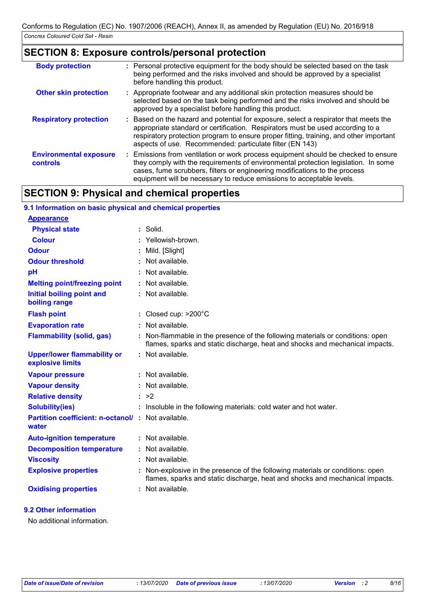### **SECTION 8: Exposure controls/personal protection**

| <b>Body protection</b>                    | : Personal protective equipment for the body should be selected based on the task<br>being performed and the risks involved and should be approved by a specialist<br>before handling this product.                                                                                                                             |
|-------------------------------------------|---------------------------------------------------------------------------------------------------------------------------------------------------------------------------------------------------------------------------------------------------------------------------------------------------------------------------------|
| <b>Other skin protection</b>              | : Appropriate footwear and any additional skin protection measures should be<br>selected based on the task being performed and the risks involved and should be<br>approved by a specialist before handling this product.                                                                                                       |
| <b>Respiratory protection</b>             | : Based on the hazard and potential for exposure, select a respirator that meets the<br>appropriate standard or certification. Respirators must be used according to a<br>respiratory protection program to ensure proper fitting, training, and other important<br>aspects of use. Recommended: particulate filter (EN 143)    |
| <b>Environmental exposure</b><br>controls | : Emissions from ventilation or work process equipment should be checked to ensure<br>they comply with the requirements of environmental protection legislation. In some<br>cases, fume scrubbers, filters or engineering modifications to the process<br>equipment will be necessary to reduce emissions to acceptable levels. |

### **SECTION 9: Physical and chemical properties**

| 9.1 Information on basic physical and chemical properties         |    |                                                                                                                                                              |
|-------------------------------------------------------------------|----|--------------------------------------------------------------------------------------------------------------------------------------------------------------|
| <b>Appearance</b>                                                 |    |                                                                                                                                                              |
| <b>Physical state</b>                                             |    | $:$ Solid.                                                                                                                                                   |
| <b>Colour</b>                                                     |    | Yellowish-brown.                                                                                                                                             |
| <b>Odour</b>                                                      |    | Mild. [Slight]                                                                                                                                               |
| <b>Odour threshold</b>                                            |    | Not available.                                                                                                                                               |
| pH                                                                |    | Not available.                                                                                                                                               |
| <b>Melting point/freezing point</b>                               |    | : Not available.                                                                                                                                             |
| Initial boiling point and<br>boiling range                        |    | : Not available.                                                                                                                                             |
| <b>Flash point</b>                                                |    | : Closed cup: $>200^{\circ}$ C                                                                                                                               |
| <b>Evaporation rate</b>                                           | ÷. | Not available.                                                                                                                                               |
| <b>Flammability (solid, gas)</b>                                  | ÷  | Non-flammable in the presence of the following materials or conditions: open<br>flames, sparks and static discharge, heat and shocks and mechanical impacts. |
| <b>Upper/lower flammability or</b><br>explosive limits            |    | : Not available.                                                                                                                                             |
| <b>Vapour pressure</b>                                            |    | : Not available.                                                                                                                                             |
| <b>Vapour density</b>                                             |    | : Not available.                                                                                                                                             |
| <b>Relative density</b>                                           |    | : >2                                                                                                                                                         |
| <b>Solubility(ies)</b>                                            |    | : Insoluble in the following materials: cold water and hot water.                                                                                            |
| <b>Partition coefficient: n-octanol/: Not available.</b><br>water |    |                                                                                                                                                              |
| <b>Auto-ignition temperature</b>                                  |    | : Not available.                                                                                                                                             |
| <b>Decomposition temperature</b>                                  |    | Not available.                                                                                                                                               |
| <b>Viscosity</b>                                                  |    | : Not available.                                                                                                                                             |
| <b>Explosive properties</b>                                       | t  | Non-explosive in the presence of the following materials or conditions: open<br>flames, sparks and static discharge, heat and shocks and mechanical impacts. |
| <b>Oxidising properties</b>                                       |    | : Not available.                                                                                                                                             |

#### **9.2 Other information**

No additional information.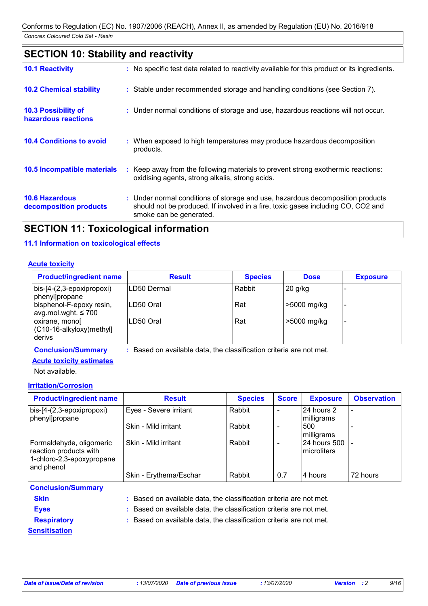## **SECTION 10: Stability and reactivity**

| <b>10.1 Reactivity</b>                            | : No specific test data related to reactivity available for this product or its ingredients.                                                                                                  |  |
|---------------------------------------------------|-----------------------------------------------------------------------------------------------------------------------------------------------------------------------------------------------|--|
| <b>10.2 Chemical stability</b>                    | : Stable under recommended storage and handling conditions (see Section 7).                                                                                                                   |  |
| <b>10.3 Possibility of</b><br>hazardous reactions | : Under normal conditions of storage and use, hazardous reactions will not occur.                                                                                                             |  |
| <b>10.4 Conditions to avoid</b>                   | : When exposed to high temperatures may produce hazardous decomposition<br>products.                                                                                                          |  |
| 10.5 Incompatible materials                       | : Keep away from the following materials to prevent strong exothermic reactions:<br>oxidising agents, strong alkalis, strong acids.                                                           |  |
| <b>10.6 Hazardous</b><br>decomposition products   | : Under normal conditions of storage and use, hazardous decomposition products<br>should not be produced. If involved in a fire, toxic gases including CO, CO2 and<br>smoke can be generated. |  |
|                                                   |                                                                                                                                                                                               |  |

## **SECTION 11: Toxicological information**

#### **11.1 Information on toxicological effects**

#### **Acute toxicity**

| <b>Product/ingredient name</b>                       | <b>Result</b>                                                     | <b>Species</b> | <b>Dose</b> | <b>Exposure</b> |
|------------------------------------------------------|-------------------------------------------------------------------|----------------|-------------|-----------------|
| $bis-[4-(2,3-epoxipropoxi)]$<br>phenyllpropane       | LD50 Dermal                                                       | Rabbit         | $20$ g/kg   |                 |
| bisphenol-F-epoxy resin,<br>avg.mol.wght. $\leq 700$ | LD50 Oral                                                         | Rat            | >5000 mg/kg |                 |
| oxirane, monol<br>(C10-16-alkyloxy)methyl]<br>derivs | LD50 Oral                                                         | Rat            | >5000 mg/kg |                 |
| <b>Conclusion/Summary</b>                            | Based on available data, the classification criteria are not met. |                |             |                 |

#### **Acute toxicity estimates**

Not available.

#### **Irritation/Corrosion**

| <b>Product/ingredient name</b>                                                                | <b>Result</b>          | <b>Species</b> | <b>Score</b>             | <b>Exposure</b>                | <b>Observation</b>       |
|-----------------------------------------------------------------------------------------------|------------------------|----------------|--------------------------|--------------------------------|--------------------------|
| $\vert$ bis-[4-(2,3-epoxipropoxi)<br>phenyl]propane                                           | Eyes - Severe irritant | Rabbit         |                          | 24 hours 2<br>milligrams       | $\overline{\phantom{a}}$ |
|                                                                                               | Skin - Mild irritant   | Rabbit         |                          | 1500<br>milligrams             |                          |
| Formaldehyde, oligomeric<br>reaction products with<br>1-chloro-2,3-epoxypropane<br>and phenol | Skin - Mild irritant   | Rabbit         | $\overline{\phantom{0}}$ | 24 hours 500 -<br>Imicroliters |                          |
|                                                                                               | Skin - Erythema/Eschar | Rabbit         | 0,7                      | l4 hours                       | 72 hours                 |
| <b>Conclusion/Summary</b>                                                                     |                        |                |                          |                                |                          |

| <b>Skin</b>          | : Based on available data, the classification criteria are not met. |
|----------------------|---------------------------------------------------------------------|
| <b>Eyes</b>          | : Based on available data, the classification criteria are not met. |
| <b>Respiratory</b>   | : Based on available data, the classification criteria are not met. |
| <b>Sensitisation</b> |                                                                     |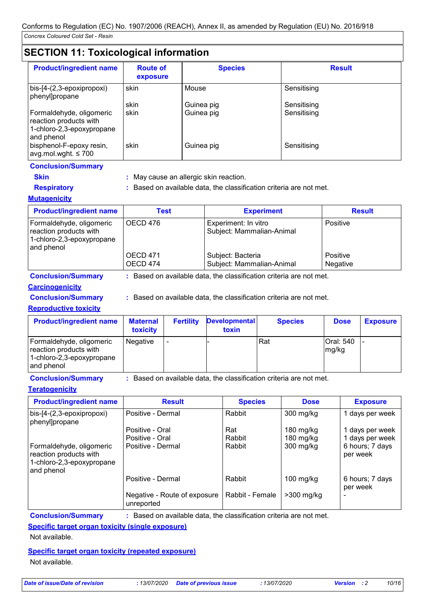### **SECTION 11: Toxicological information**

| <b>Product/ingredient name</b>                                                                | <b>Route of</b><br>exposure | <b>Species</b>           | <b>Result</b>              |
|-----------------------------------------------------------------------------------------------|-----------------------------|--------------------------|----------------------------|
| bis-[4-(2,3-epoxipropoxi)<br>phenyl]propane                                                   | skin                        | Mouse                    | Sensitising                |
| Formaldehyde, oligomeric<br>reaction products with<br>1-chloro-2,3-epoxypropane<br>and phenol | skin<br>skin                | Guinea pig<br>Guinea pig | Sensitising<br>Sensitising |
| bisphenol-F-epoxy resin,<br>avg.mol.wght. $\leq 700$                                          | skin                        | Guinea pig               | Sensitising                |

#### **Conclusion/Summary**

- 
- 
- 
- **Skin :** May cause an allergic skin reaction.
- **Respiratory :** Based on available data, the classification criteria are not met.
- 
- **Mutagenicity**

| <b>Product/ingredient name</b>                                                                | Test                 | <b>Experiment</b>                                 | <b>Result</b>               |
|-----------------------------------------------------------------------------------------------|----------------------|---------------------------------------------------|-----------------------------|
| Formaldehyde, oligomeric<br>reaction products with<br>1-chloro-2,3-epoxypropane<br>and phenol | OECD 476             | Experiment: In vitro<br>Subject: Mammalian-Animal | Positive                    |
|                                                                                               | OECD 471<br>OECD 474 | Subject: Bacteria<br>Subject: Mammalian-Animal    | Positive<br><b>Negative</b> |

**Conclusion/Summary :** Based on available data, the classification criteria are not met.

#### **Carcinogenicity**

**Conclusion/Summary :** Based on available data, the classification criteria are not met.

#### **Reproductive toxicity**

| <b>Product/ingredient name</b>                                                                | <b>Maternal</b><br>toxicity | <b>Fertility</b>         | <b>Developmental</b><br>toxin | <b>Species</b> | <b>Dose</b>        | <b>Exposure</b> |
|-----------------------------------------------------------------------------------------------|-----------------------------|--------------------------|-------------------------------|----------------|--------------------|-----------------|
| Formaldehyde, oligomeric<br>reaction products with<br>1-chloro-2,3-epoxypropane<br>and phenol | Negative                    | $\overline{\phantom{a}}$ |                               | Rat            | Oral: 540<br>mg/kg |                 |

**Conclusion/Summary :** Based on available data, the classification criteria are not met.

#### **Teratogenicity**

| <b>Product/ingredient name</b>                                                                | <b>Result</b>                              | <b>Species</b>  | <b>Dose</b>  | <b>Exposure</b>             |
|-----------------------------------------------------------------------------------------------|--------------------------------------------|-----------------|--------------|-----------------------------|
| bis-[4-(2,3-epoxipropoxi)<br>phenyl]propane                                                   | Positive - Dermal                          | Rabbit          | 300 mg/kg    | 1 days per week             |
|                                                                                               | Positive - Oral                            | Rat             | 180 mg/kg    | 1 days per week             |
|                                                                                               | Positive - Oral                            | Rabbit          | 180 mg/kg    | 1 days per week             |
| Formaldehyde, oligomeric<br>reaction products with<br>1-chloro-2,3-epoxypropane<br>and phenol | Positive - Dermal                          | Rabbit          | 300 mg/kg    | 6 hours; 7 days<br>per week |
|                                                                                               | Positive - Dermal                          | Rabbit          | $100$ mg/kg  | 6 hours; 7 days<br>per week |
|                                                                                               | Negative - Route of exposure<br>unreported | Rabbit - Female | $>300$ mg/kg | $\overline{\phantom{a}}$    |

**Conclusion/Summary :** Based on available data, the classification criteria are not met.

**Specific target organ toxicity (single exposure)**

Not available.

**Specific target organ toxicity (repeated exposure)** Not available.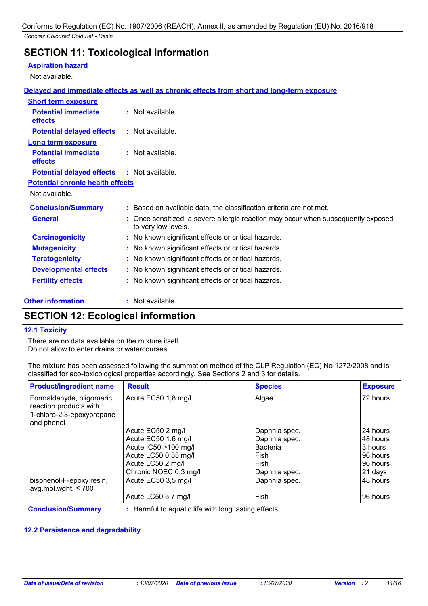### **SECTION 11: Toxicological information**

#### **Aspiration hazard**

Not available.

#### **Delayed and immediate effects as well as chronic effects from short and long-term exposure**

| <b>Short term exposure</b>                   |                                                                                                          |
|----------------------------------------------|----------------------------------------------------------------------------------------------------------|
| <b>Potential immediate</b><br><b>effects</b> | $:$ Not available.                                                                                       |
| <b>Potential delayed effects</b>             | : Not available.                                                                                         |
| <b>Long term exposure</b>                    |                                                                                                          |
| <b>Potential immediate</b><br><b>effects</b> | $:$ Not available.                                                                                       |
| <b>Potential delayed effects</b>             | : Not available.                                                                                         |
| <b>Potential chronic health effects</b>      |                                                                                                          |
| Not available.                               |                                                                                                          |
| <b>Conclusion/Summary</b>                    | : Based on available data, the classification criteria are not met.                                      |
| <b>General</b>                               | : Once sensitized, a severe allergic reaction may occur when subsequently exposed<br>to very low levels. |
| <b>Carcinogenicity</b>                       | : No known significant effects or critical hazards.                                                      |
| <b>Mutagenicity</b>                          | : No known significant effects or critical hazards.                                                      |
| <b>Teratogenicity</b>                        | : No known significant effects or critical hazards.                                                      |
| <b>Developmental effects</b>                 | : No known significant effects or critical hazards.                                                      |
| <b>Fertility effects</b>                     | : No known significant effects or critical hazards.                                                      |

**Other information :**

: Not available.

### **SECTION 12: Ecological information**

#### **12.1 Toxicity**

There are no data available on the mixture itself. Do not allow to enter drains or watercourses.

| The mixture has been assessed following the summation method of the CLP Regulation (EC) No 1272/2008 and is |  |
|-------------------------------------------------------------------------------------------------------------|--|
| classified for eco-toxicological properties accordingly. See Sections 2 and 3 for details.                  |  |

| <b>Product/ingredient name</b>                                                                | <b>Result</b>         | <b>Species</b>  | <b>Exposure</b> |
|-----------------------------------------------------------------------------------------------|-----------------------|-----------------|-----------------|
| Formaldehyde, oligomeric<br>reaction products with<br>1-chloro-2,3-epoxypropane<br>and phenol | Acute EC50 1,8 mg/l   | Algae           | 72 hours        |
|                                                                                               | Acute EC50 2 mg/l     | Daphnia spec.   | 124 hours       |
|                                                                                               | Acute EC50 1,6 mg/l   | Daphnia spec.   | 148 hours       |
|                                                                                               | Acute IC50 >100 mg/l  | <b>Bacteria</b> | 3 hours         |
|                                                                                               | Acute LC50 0,55 mg/l  | Fish            | 196 hours       |
|                                                                                               | Acute LC50 2 mg/l     | Fish            | 196 hours       |
|                                                                                               | Chronic NOEC 0,3 mg/l | Daphnia spec.   | 21 days         |
| bisphenol-F-epoxy resin,<br>avg.mol.wght. $\leq 700$                                          | Acute EC50 3,5 mg/l   | Daphnia spec.   | 148 hours       |
|                                                                                               | Acute LC50 5,7 mg/l   | Fish            | 96 hours        |

**Conclusion/Summary :** Harmful to aquatic life with long lasting effects.

#### **12.2 Persistence and degradability**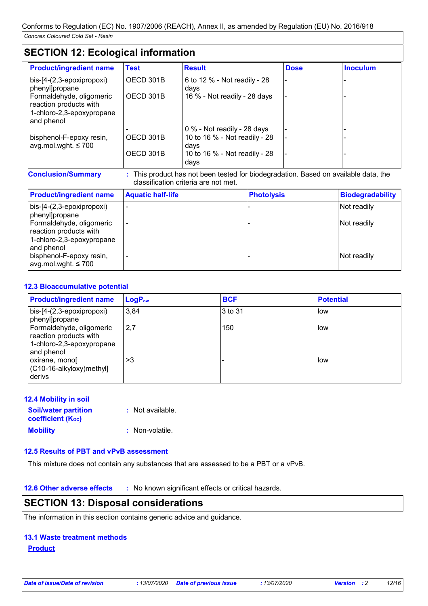### **SECTION 12: Ecological information**

| <b>Product/ingredient name</b>                                                                | <b>Test</b> | <b>Result</b>                         | <b>Dose</b> | <b>Inoculum</b> |
|-----------------------------------------------------------------------------------------------|-------------|---------------------------------------|-------------|-----------------|
| bis-[4-(2,3-epoxipropoxi)<br>phenyl]propane                                                   | OECD 301B   | 6 to 12 % - Not readily - 28<br>days  |             |                 |
| Formaldehyde, oligomeric<br>reaction products with<br>1-chloro-2,3-epoxypropane<br>and phenol | OECD 301B   | 16 % - Not readily - 28 days          |             |                 |
|                                                                                               |             | 0 % - Not readily - 28 days           |             |                 |
| bisphenol-F-epoxy resin,<br>avg.mol.wght. $\leq 700$                                          | OECD 301B   | 10 to 16 % - Not readily - 28<br>days |             |                 |
|                                                                                               | OECD 301B   | 10 to 16 % - Not readily - 28<br>days |             |                 |

**Conclusion/Summary :** This product has not been tested for biodegradation. Based on available data, the classification criteria are not met.

| <b>Product/ingredient name</b>                                | <b>Aquatic half-life</b> | <b>Photolysis</b> | <b>Biodegradability</b> |
|---------------------------------------------------------------|--------------------------|-------------------|-------------------------|
| $bis-[4-(2,3-epoxipropoxi)]$<br>phenyl]propane                |                          |                   | Not readily             |
| Formaldehyde, oligomeric<br>reaction products with            |                          |                   | Not readily             |
| 1-chloro-2,3-epoxypropane<br>and phenol                       |                          |                   |                         |
| bisphenol-F-epoxy resin,<br>$\alpha$ gwg.mol.wght. $\leq 700$ |                          |                   | Not readily             |

#### **12.3 Bioaccumulative potential**

| <b>Product/ingredient name</b>                                                                | <b>LogPow</b> | <b>BCF</b> | <b>Potential</b> |
|-----------------------------------------------------------------------------------------------|---------------|------------|------------------|
| bis-[4-(2,3-epoxipropoxi)<br>phenyl]propane                                                   | 3,84          | 3 to 31    | low              |
| Formaldehyde, oligomeric<br>reaction products with<br>1-chloro-2,3-epoxypropane<br>and phenol | 2,7           | 150        | low              |
| oxirane, mono<br>(C10-16-alkyloxy)methyl]<br>derivs                                           | >3            |            | low              |

#### **12.4 Mobility in soil**

| <b>Soil/water partition</b><br><b>coefficient</b> (K <sub>oc</sub> ) | : Not available. |
|----------------------------------------------------------------------|------------------|
| <b>Mobility</b>                                                      | : Non-volatile.  |

**12.5 Results of PBT and vPvB assessment**

This mixture does not contain any substances that are assessed to be a PBT or a vPvB.

**12.6 Other adverse effects** : No known significant effects or critical hazards.

### **SECTION 13: Disposal considerations**

The information in this section contains generic advice and guidance.

#### **13.1 Waste treatment methods**

#### **Product**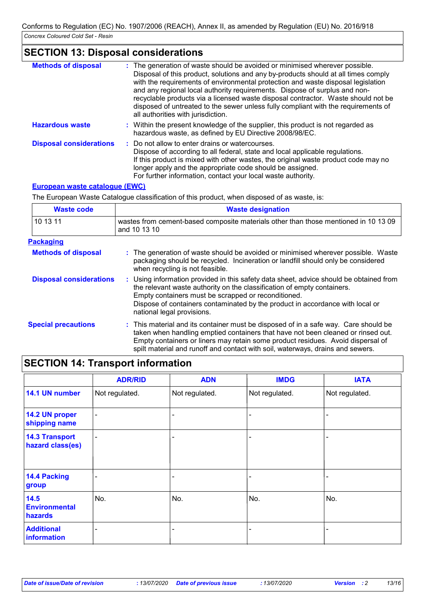## **SECTION 13: Disposal considerations**

| <b>Methods of disposal</b>     | : The generation of waste should be avoided or minimised wherever possible.<br>Disposal of this product, solutions and any by-products should at all times comply<br>with the requirements of environmental protection and waste disposal legislation<br>and any regional local authority requirements. Dispose of surplus and non-<br>recyclable products via a licensed waste disposal contractor. Waste should not be<br>disposed of untreated to the sewer unless fully compliant with the requirements of<br>all authorities with jurisdiction. |
|--------------------------------|------------------------------------------------------------------------------------------------------------------------------------------------------------------------------------------------------------------------------------------------------------------------------------------------------------------------------------------------------------------------------------------------------------------------------------------------------------------------------------------------------------------------------------------------------|
| <b>Hazardous waste</b>         | : Within the present knowledge of the supplier, this product is not regarded as<br>hazardous waste, as defined by EU Directive 2008/98/EC.                                                                                                                                                                                                                                                                                                                                                                                                           |
| <b>Disposal considerations</b> | : Do not allow to enter drains or watercourses.<br>Dispose of according to all federal, state and local applicable regulations.<br>If this product is mixed with other wastes, the original waste product code may no<br>longer apply and the appropriate code should be assigned.<br>For further information, contact your local waste authority.                                                                                                                                                                                                   |

#### **European waste catalogue (EWC)**

The European Waste Catalogue classification of this product, when disposed of as waste, is:

| <b>Waste code</b>              | <b>Waste designation</b>                                                                                                                                                                                                                                                                                                                     |  |  |  |
|--------------------------------|----------------------------------------------------------------------------------------------------------------------------------------------------------------------------------------------------------------------------------------------------------------------------------------------------------------------------------------------|--|--|--|
| 10 13 11                       | wastes from cement-based composite materials other than those mentioned in 10 13 09<br>and 10 13 10                                                                                                                                                                                                                                          |  |  |  |
| <b>Packaging</b>               |                                                                                                                                                                                                                                                                                                                                              |  |  |  |
| <b>Methods of disposal</b>     | : The generation of waste should be avoided or minimised wherever possible. Waste<br>packaging should be recycled. Incineration or landfill should only be considered<br>when recycling is not feasible.                                                                                                                                     |  |  |  |
| <b>Disposal considerations</b> | : Using information provided in this safety data sheet, advice should be obtained from<br>the relevant waste authority on the classification of empty containers.<br>Empty containers must be scrapped or reconditioned.<br>Dispose of containers contaminated by the product in accordance with local or<br>national legal provisions.      |  |  |  |
| <b>Special precautions</b>     | : This material and its container must be disposed of in a safe way. Care should be<br>taken when handling emptied containers that have not been cleaned or rinsed out.<br>Empty containers or liners may retain some product residues. Avoid dispersal of<br>spilt material and runoff and contact with soil, waterways, drains and sewers. |  |  |  |

## **SECTION 14: Transport information**

|                                           | <b>ADR/RID</b>           | <b>ADN</b>     | <b>IMDG</b>    | <b>IATA</b>    |
|-------------------------------------------|--------------------------|----------------|----------------|----------------|
| 14.1 UN number                            | Not regulated.           | Not regulated. | Not regulated. | Not regulated. |
| 14.2 UN proper<br>shipping name           | $\overline{\phantom{a}}$ |                |                |                |
| <b>14.3 Transport</b><br>hazard class(es) | $\overline{\phantom{a}}$ | ۰              |                | -              |
| 14.4 Packing<br>group                     |                          |                |                |                |
| 14.5<br><b>Environmental</b><br>hazards   | No.                      | No.            | No.            | No.            |
| <b>Additional</b><br>information          |                          |                |                |                |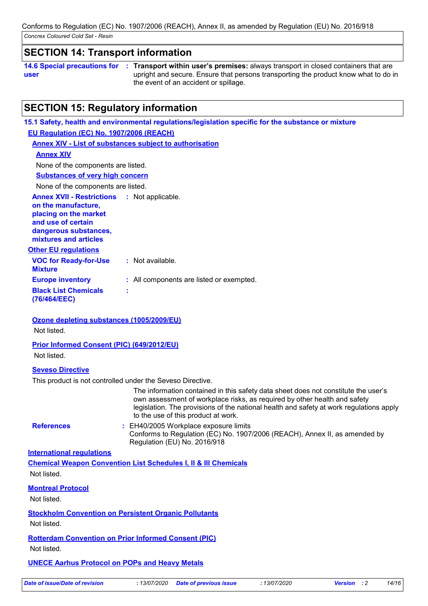### **SECTION 14: Transport information**

**14.6 Special precautions for user Transport within user's premises:** always transport in closed containers that are **:** upright and secure. Ensure that persons transporting the product know what to do in the event of an accident or spillage.

### **SECTION 15: Regulatory information**

**VOC for Ready-for-Use Mixture :** Not available. **15.1 Safety, health and environmental regulations/legislation specific for the substance or mixture Other EU regulations Annex XVII - Restrictions :** Not applicable. **on the manufacture, placing on the market and use of certain dangerous substances, mixtures and articles Europe inventory :** All components are listed or exempted. **Black List Chemicals (76/464/EEC) : EU Regulation (EC) No. 1907/2006 (REACH) Annex XIV - List of substances subject to authorisation Annex XIV Substances of very high concern** None of the components are listed. None of the components are listed. **Ozone depleting substances (1005/2009/EU)**

Not listed.

#### **Prior Informed Consent (PIC) (649/2012/EU)**

Not listed.

#### **Seveso Directive**

This product is not controlled under the Seveso Directive.

The information contained in this safety data sheet does not constitute the user's own assessment of workplace risks, as required by other health and safety legislation. The provisions of the national health and safety at work regulations apply to the use of this product at work.

**References :**

: EH40/2005 Workplace exposure limits Conforms to Regulation (EC) No. 1907/2006 (REACH), Annex II, as amended by Regulation (EU) No. 2016/918

#### **International regulations**

**Chemical Weapon Convention List Schedules I, II & III Chemicals** Not listed.

#### **Montreal Protocol**

Not listed.

**Stockholm Convention on Persistent Organic Pollutants**

Not listed.

### **Rotterdam Convention on Prior Informed Consent (PIC)**

Not listed.

#### **UNECE Aarhus Protocol on POPs and Heavy Metals**

*Date of issue/Date of revision* **:** *13/07/2020 Date of previous issue : 13/07/2020 Version : 2 14/16*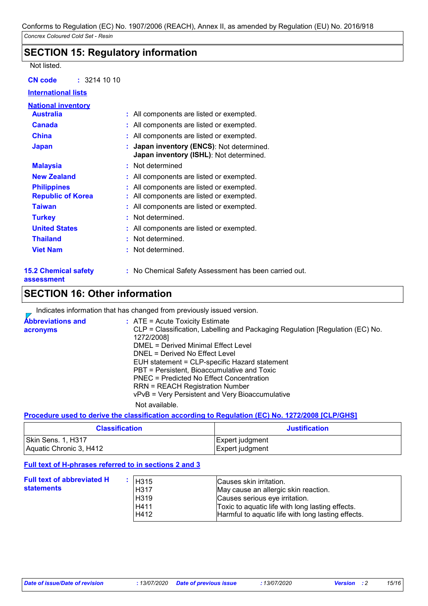### **SECTION 15: Regulatory information**

#### Not listed.

| : 32141010<br><b>CN code</b>              |                                                                                    |
|-------------------------------------------|------------------------------------------------------------------------------------|
| <b>International lists</b>                |                                                                                    |
| <b>National inventory</b>                 |                                                                                    |
| <b>Australia</b>                          | : All components are listed or exempted.                                           |
| <b>Canada</b>                             | : All components are listed or exempted.                                           |
| <b>China</b>                              | : All components are listed or exempted.                                           |
| <b>Japan</b>                              | Japan inventory (ENCS): Not determined.<br>Japan inventory (ISHL): Not determined. |
| <b>Malaysia</b>                           | : Not determined                                                                   |
| <b>New Zealand</b>                        | : All components are listed or exempted.                                           |
| <b>Philippines</b>                        | : All components are listed or exempted.                                           |
| <b>Republic of Korea</b>                  | : All components are listed or exempted.                                           |
| <b>Taiwan</b>                             | : All components are listed or exempted.                                           |
| <b>Turkey</b>                             | : Not determined.                                                                  |
| <b>United States</b>                      | : All components are listed or exempted.                                           |
| <b>Thailand</b>                           | : Not determined.                                                                  |
| <b>Viet Nam</b>                           | : Not determined.                                                                  |
| <b>15.2 Chemical safety</b><br>assessment | : No Chemical Safety Assessment has been carried out.                              |

### **SECTION 16: Other information**

Indicates information that has changed from previously issued version.

| <b>Abbreviations and</b><br>acronyms | $:$ ATE = Acute Toxicity Estimate<br>CLP = Classification, Labelling and Packaging Regulation [Regulation (EC) No.<br>1272/2008]<br>DMEL = Derived Minimal Effect Level<br>DNEL = Derived No Effect Level<br>EUH statement = CLP-specific Hazard statement<br>PBT = Persistent, Bioaccumulative and Toxic |
|--------------------------------------|-----------------------------------------------------------------------------------------------------------------------------------------------------------------------------------------------------------------------------------------------------------------------------------------------------------|
|                                      | PNEC = Predicted No Effect Concentration<br><b>RRN = REACH Registration Number</b><br>vPvB = Very Persistent and Very Bioaccumulative<br>Not available.                                                                                                                                                   |

#### **Procedure used to derive the classification according to Regulation (EC) No. 1272/2008 [CLP/GHS]**

| <b>Classification</b>   | <b>Justification</b> |
|-------------------------|----------------------|
| Skin Sens. 1, H317      | Expert judgment      |
| Aquatic Chronic 3, H412 | Expert judgment      |

#### **Full text of H-phrases referred to in sections 2 and 3**

| <b>Full text of abbreviated H</b><br>statements | H315<br>H317<br>H319<br>H411<br>H412 | Causes skin irritation.<br>May cause an allergic skin reaction.<br>Causes serious eye irritation.<br>Toxic to aquatic life with long lasting effects.<br>Harmful to aquatic life with long lasting effects. |
|-------------------------------------------------|--------------------------------------|-------------------------------------------------------------------------------------------------------------------------------------------------------------------------------------------------------------|
|                                                 |                                      |                                                                                                                                                                                                             |